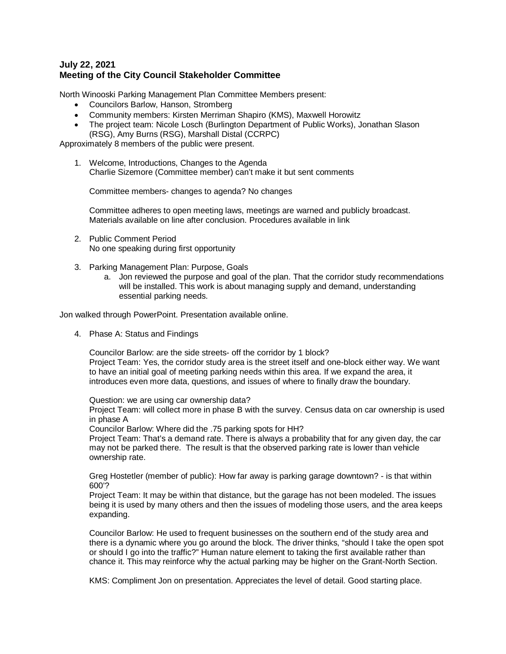# **July 22, 2021 Meeting of the City Council Stakeholder Committee**

North Winooski Parking Management Plan Committee Members present:

- Councilors Barlow, Hanson, Stromberg
- Community members: Kirsten Merriman Shapiro (KMS), Maxwell Horowitz
- The project team: Nicole Losch (Burlington Department of Public Works), Jonathan Slason (RSG), Amy Burns (RSG), Marshall Distal (CCRPC)

Approximately 8 members of the public were present.

1. Welcome, Introductions, Changes to the Agenda Charlie Sizemore (Committee member) can't make it but sent comments

Committee members- changes to agenda? No changes

Committee adheres to open meeting laws, meetings are warned and publicly broadcast. Materials available on line after conclusion. Procedures available in link

- 2. Public Comment Period No one speaking during first opportunity
- 3. Parking Management Plan: Purpose, Goals
	- a. Jon reviewed the purpose and goal of the plan. That the corridor study recommendations will be installed. This work is about managing supply and demand, understanding essential parking needs.

Jon walked through PowerPoint. Presentation available online.

4. Phase A: Status and Findings

Councilor Barlow: are the side streets- off the corridor by 1 block? Project Team: Yes, the corridor study area is the street itself and one-block either way. We want to have an initial goal of meeting parking needs within this area. If we expand the area, it introduces even more data, questions, and issues of where to finally draw the boundary.

Question: we are using car ownership data?

Project Team: will collect more in phase B with the survey. Census data on car ownership is used in phase A

Councilor Barlow: Where did the .75 parking spots for HH?

Project Team: That's a demand rate. There is always a probability that for any given day, the car may not be parked there. The result is that the observed parking rate is lower than vehicle ownership rate.

Greg Hostetler (member of public): How far away is parking garage downtown? - is that within 600'?

Project Team: It may be within that distance, but the garage has not been modeled. The issues being it is used by many others and then the issues of modeling those users, and the area keeps expanding.

Councilor Barlow: He used to frequent businesses on the southern end of the study area and there is a dynamic where you go around the block. The driver thinks, "should I take the open spot or should I go into the traffic?" Human nature element to taking the first available rather than chance it. This may reinforce why the actual parking may be higher on the Grant-North Section.

KMS: Compliment Jon on presentation. Appreciates the level of detail. Good starting place.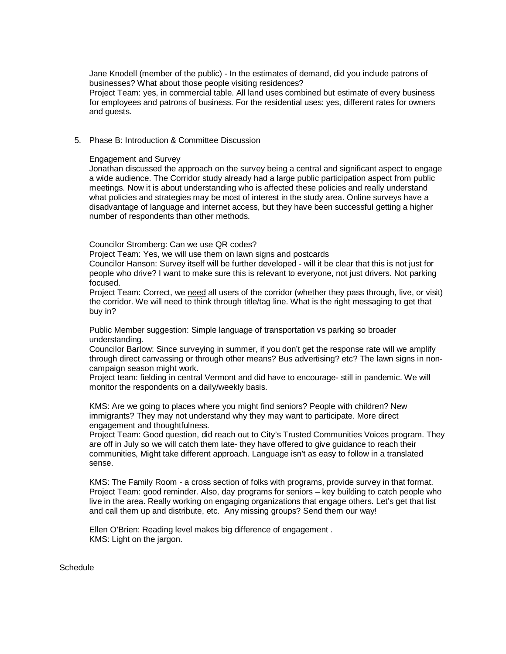Jane Knodell (member of the public) - In the estimates of demand, did you include patrons of businesses? What about those people visiting residences?

Project Team: yes, in commercial table. All land uses combined but estimate of every business for employees and patrons of business. For the residential uses: yes, different rates for owners and guests.

### 5. Phase B: Introduction & Committee Discussion

#### Engagement and Survey

Jonathan discussed the approach on the survey being a central and significant aspect to engage a wide audience. The Corridor study already had a large public participation aspect from public meetings. Now it is about understanding who is affected these policies and really understand what policies and strategies may be most of interest in the study area. Online surveys have a disadvantage of language and internet access, but they have been successful getting a higher number of respondents than other methods.

### Councilor Stromberg: Can we use QR codes?

Project Team: Yes, we will use them on lawn signs and postcards

Councilor Hanson: Survey itself will be further developed - will it be clear that this is not just for people who drive? I want to make sure this is relevant to everyone, not just drivers. Not parking focused.

Project Team: Correct, we need all users of the corridor (whether they pass through, live, or visit) the corridor. We will need to think through title/tag line. What is the right messaging to get that buy in?

Public Member suggestion: Simple language of transportation vs parking so broader understanding.

Councilor Barlow: Since surveying in summer, if you don't get the response rate will we amplify through direct canvassing or through other means? Bus advertising? etc? The lawn signs in noncampaign season might work.

Project team: fielding in central Vermont and did have to encourage- still in pandemic. We will monitor the respondents on a daily/weekly basis.

KMS: Are we going to places where you might find seniors? People with children? New immigrants? They may not understand why they may want to participate. More direct engagement and thoughtfulness.

Project Team: Good question, did reach out to City's Trusted Communities Voices program. They are off in July so we will catch them late- they have offered to give guidance to reach their communities, Might take different approach. Language isn't as easy to follow in a translated sense.

KMS: The Family Room - a cross section of folks with programs, provide survey in that format. Project Team: good reminder. Also, day programs for seniors – key building to catch people who live in the area. Really working on engaging organizations that engage others. Let's get that list and call them up and distribute, etc. Any missing groups? Send them our way!

Ellen O'Brien: Reading level makes big difference of engagement . KMS: Light on the jargon.

**Schedule**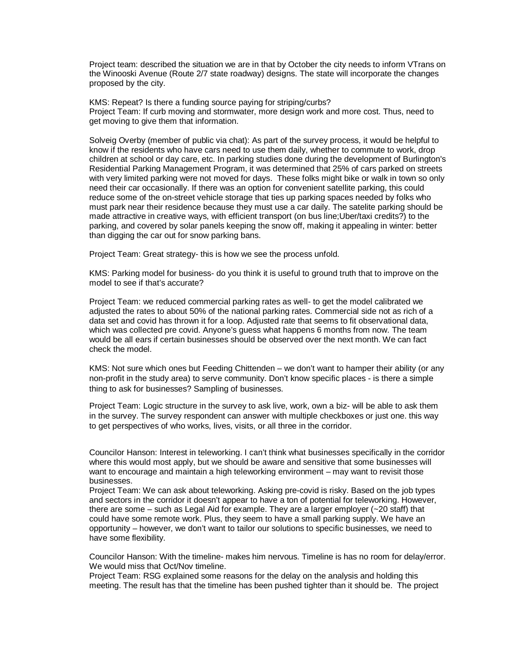Project team: described the situation we are in that by October the city needs to inform VTrans on the Winooski Avenue (Route 2/7 state roadway) designs. The state will incorporate the changes proposed by the city.

KMS: Repeat? Is there a funding source paying for striping/curbs? Project Team: If curb moving and stormwater, more design work and more cost. Thus, need to get moving to give them that information.

Solveig Overby (member of public via chat): As part of the survey process, it would be helpful to know if the residents who have cars need to use them daily, whether to commute to work, drop children at school or day care, etc. In parking studies done during the development of Burlington's Residential Parking Management Program, it was determined that 25% of cars parked on streets with very limited parking were not moved for days. These folks might bike or walk in town so only need their car occasionally. If there was an option for convenient satellite parking, this could reduce some of the on-street vehicle storage that ties up parking spaces needed by folks who must park near their residence because they must use a car daily. The satelite parking should be made attractive in creative ways, with efficient transport (on bus line;Uber/taxi credits?) to the parking, and covered by solar panels keeping the snow off, making it appealing in winter: better than digging the car out for snow parking bans.

Project Team: Great strategy- this is how we see the process unfold.

KMS: Parking model for business- do you think it is useful to ground truth that to improve on the model to see if that's accurate?

Project Team: we reduced commercial parking rates as well- to get the model calibrated we adjusted the rates to about 50% of the national parking rates. Commercial side not as rich of a data set and covid has thrown it for a loop. Adjusted rate that seems to fit observational data, which was collected pre covid. Anyone's guess what happens 6 months from now. The team would be all ears if certain businesses should be observed over the next month. We can fact check the model.

KMS: Not sure which ones but Feeding Chittenden – we don't want to hamper their ability (or any non-profit in the study area) to serve community. Don't know specific places - is there a simple thing to ask for businesses? Sampling of businesses.

Project Team: Logic structure in the survey to ask live, work, own a biz- will be able to ask them in the survey. The survey respondent can answer with multiple checkboxes or just one. this way to get perspectives of who works, lives, visits, or all three in the corridor.

Councilor Hanson: Interest in teleworking. I can't think what businesses specifically in the corridor where this would most apply, but we should be aware and sensitive that some businesses will want to encourage and maintain a high teleworking environment – may want to revisit those businesses.

Project Team: We can ask about teleworking. Asking pre-covid is risky. Based on the job types and sectors in the corridor it doesn't appear to have a ton of potential for teleworking. However, there are some – such as Legal Aid for example. They are a larger employer (~20 staff) that could have some remote work. Plus, they seem to have a small parking supply. We have an opportunity – however, we don't want to tailor our solutions to specific businesses, we need to have some flexibility.

Councilor Hanson: With the timeline- makes him nervous. Timeline is has no room for delay/error. We would miss that Oct/Nov timeline.

Project Team: RSG explained some reasons for the delay on the analysis and holding this meeting. The result has that the timeline has been pushed tighter than it should be. The project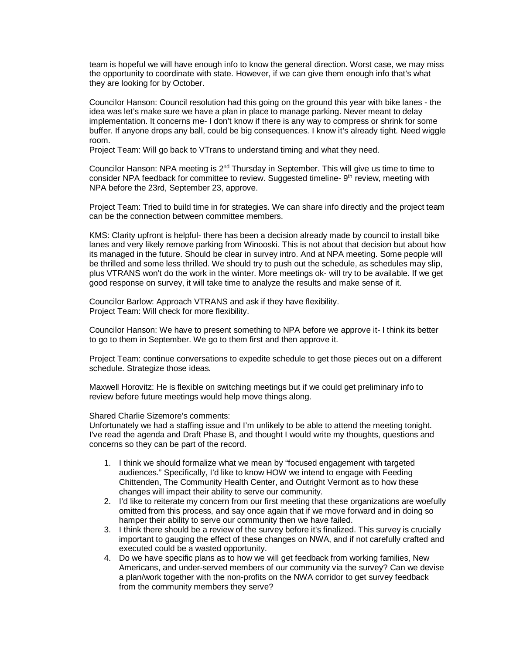team is hopeful we will have enough info to know the general direction. Worst case, we may miss the opportunity to coordinate with state. However, if we can give them enough info that's what they are looking for by October.

Councilor Hanson: Council resolution had this going on the ground this year with bike lanes - the idea was let's make sure we have a plan in place to manage parking. Never meant to delay implementation. It concerns me- I don't know if there is any way to compress or shrink for some buffer. If anyone drops any ball, could be big consequences. I know it's already tight. Need wiggle room.

Project Team: Will go back to VTrans to understand timing and what they need.

Councilor Hanson: NPA meeting is 2<sup>nd</sup> Thursday in September. This will give us time to time to consider NPA feedback for committee to review. Suggested timeline- 9<sup>th</sup> review, meeting with NPA before the 23rd, September 23, approve.

Project Team: Tried to build time in for strategies. We can share info directly and the project team can be the connection between committee members.

KMS: Clarity upfront is helpful- there has been a decision already made by council to install bike lanes and very likely remove parking from Winooski. This is not about that decision but about how its managed in the future. Should be clear in survey intro. And at NPA meeting. Some people will be thrilled and some less thrilled. We should try to push out the schedule, as schedules may slip, plus VTRANS won't do the work in the winter. More meetings ok- will try to be available. If we get good response on survey, it will take time to analyze the results and make sense of it.

Councilor Barlow: Approach VTRANS and ask if they have flexibility. Project Team: Will check for more flexibility.

Councilor Hanson: We have to present something to NPA before we approve it- I think its better to go to them in September. We go to them first and then approve it.

Project Team: continue conversations to expedite schedule to get those pieces out on a different schedule. Strategize those ideas.

Maxwell Horovitz: He is flexible on switching meetings but if we could get preliminary info to review before future meetings would help move things along.

#### Shared Charlie Sizemore's comments:

Unfortunately we had a staffing issue and I'm unlikely to be able to attend the meeting tonight. I've read the agenda and Draft Phase B, and thought I would write my thoughts, questions and concerns so they can be part of the record.

- 1. I think we should formalize what we mean by "focused engagement with targeted audiences." Specifically, I'd like to know HOW we intend to engage with Feeding Chittenden, The Community Health Center, and Outright Vermont as to how these changes will impact their ability to serve our community.
- 2. I'd like to reiterate my concern from our first meeting that these organizations are woefully omitted from this process, and say once again that if we move forward and in doing so hamper their ability to serve our community then we have failed.
- 3. I think there should be a review of the survey before it's finalized. This survey is crucially important to gauging the effect of these changes on NWA, and if not carefully crafted and executed could be a wasted opportunity.
- 4. Do we have specific plans as to how we will get feedback from working families, New Americans, and under-served members of our community via the survey? Can we devise a plan/work together with the non-profits on the NWA corridor to get survey feedback from the community members they serve?